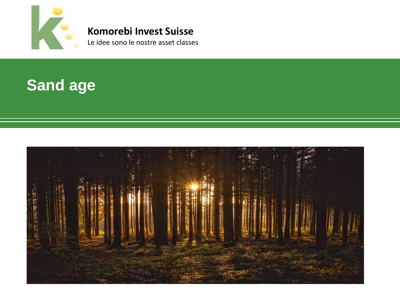

### **Komorebi Invest Suisse**

Le idee sono le nostre asset classes

### **Sand age**

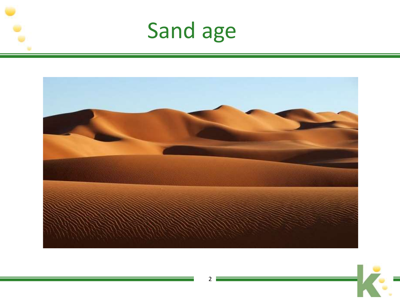





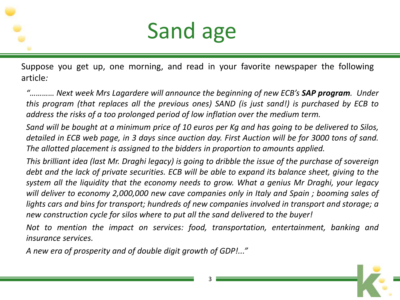

Suppose you get up, one morning, and read in your favorite newspaper the following article*:*

*"………… Next week Mrs Lagardere will announce the beginning of new ECB's SAP program. Under this program (that replaces all the previous ones) SAND (is just sand!) is purchased by ECB to address the risks of a too prolonged period of low inflation over the medium term.*

Sand will be bought at a minimum price of 10 euros per Kg and has going to be delivered to Silos, detailed in ECB web page, in 3 days since auction day. First Auction will be for 3000 tons of sand. *The allotted placement is assigned to the bidders in proportion to amounts applied.*

This brilliant idea (last Mr. Draghi legacy) is going to dribble the issue of the purchase of sovereign debt and the lack of private securities. ECB will be able to expand its balance sheet, giving to the *system all the liquidity that the economy needs to grow. What a genius Mr Draghi, your legacy will deliver to economy 2,000,000 new cave companies only in Italy and Spain ; booming sales of lights cars and bins for transport; hundreds of new companies involved in transport and storage; a new construction cycle for silos where to put all the sand delivered to the buyer!*

*Not to mention the impact on services: food, transportation, entertainment, banking and insurance services.*

*A new era of prosperity and of double digit growth of GDP!..."*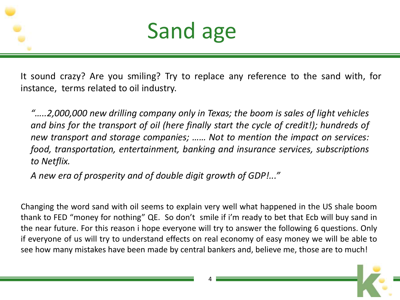



It sound crazy? Are you smiling? Try to replace any reference to the sand with, for instance, terms related to oil industry.

*"…..2,000,000 new drilling company only in Texas; the boom is sales of light vehicles and bins for the transport of oil (here finally start the cycle of credit!); hundreds of new transport and storage companies; …… Not to mention the impact on services: food, transportation, entertainment, banking and insurance services, subscriptions to Netflix.*

*A new era of prosperity and of double digit growth of GDP!..."*

Changing the word sand with oil seems to explain very well what happened in the US shale boom thank to FED "money for nothing" QE. So don't smile if i'm ready to bet that Ecb will buy sand in the near future. For this reason i hope everyone will try to answer the following 6 questions. Only if everyone of us will try to understand effects on real economy of easy money we will be able to see how many mistakes have been made by central bankers and, believe me, those are to much!

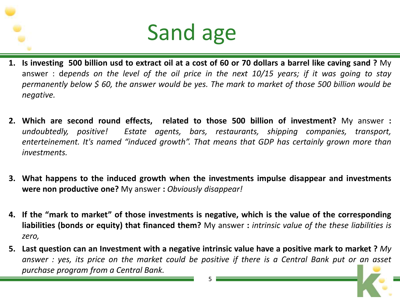- 1. Is investing 500 billion usd to extract oil at a cost of 60 or 70 dollars a barrel like caving sand ? My answer : depends on the level of the oil price in the next  $10/15$  years; if it was going to stay permanently below \$ 60, the answer would be yes. The mark to market of those 500 billion would be *negative.*
- **2. Which are second round effects, related to those 500 billion of investment?** My answer **:** *undoubtedly, positive! Estate agents, bars, restaurants, shipping companies, transport, enterteinement. It's named "induced growth". That means that GDP has certainly grown more than investments.*
- **3. What happens to the induced growth when the investments impulse disappear and investments were non productive one?** My answer **:** *Obviously disappear!*
- 4. If the "mark to market" of those investments is negative, which is the value of the corresponding **liabilities (bonds or equity) that financed them?** My answer **:** *intrinsic value of the these liabilities is zero,*
- 5. Last question can an Investment with a negative intrinsic value have a positive mark to market ? My answer : yes, its price on the market could be positive if there is a Central Bank put or an asset *purchase program from a Central Bank.*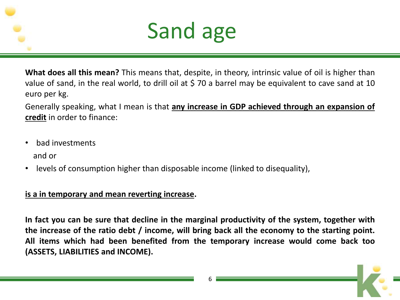

**What does all this mean?** This means that, despite, in theory, intrinsic value of oil is higher than value of sand, in the real world, to drill oil at \$ 70 a barrel may be equivalent to cave sand at 10 euro per kg.

Generally speaking, what I mean is that **any increase in GDP achieved through an expansion of credit** in order to finance:

- bad investments and or
- levels of consumption higher than disposable income (linked to disequality),

#### **is a in temporary and mean reverting increase.**

**In fact you can be sure that decline in the marginal productivity of the system, together with the increase of the ratio debt / income, will bring back all the economy to the starting point. All items which had been benefited from the temporary increase would come back too (ASSETS, LIABILITIES and INCOME).**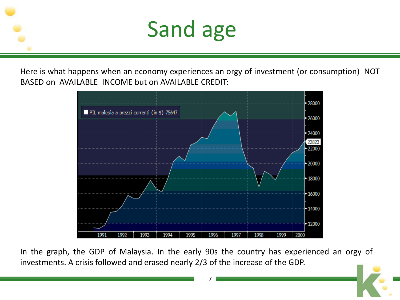

Here is what happens when an economy experiences an orgy of investment (or consumption) NOT BASED on AVAILABLE INCOME but on AVAILABLE CREDIT:



In the graph, the GDP of Malaysia. In the early 90s the country has experienced an orgy of investments. A crisis followed and erased nearly 2/3 of the increase of the GDP.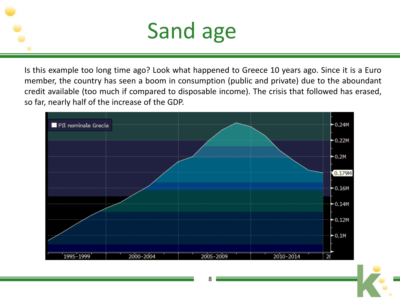Is this example too long time ago? Look what happened to Greece 10 years ago. Since it is a Euro member, the country has seen a boom in consumption (public and private) due to the aboundant credit available (too much if compared to disposable income). The crisis that followed has erased, so far, nearly half of the increase of the GDP.



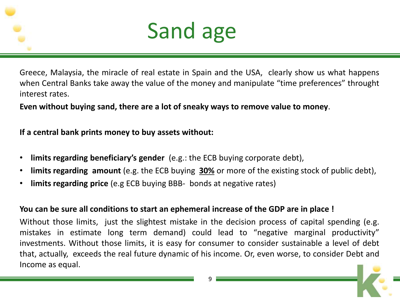

Greece, Malaysia, the miracle of real estate in Spain and the USA, clearly show us what happens when Central Banks take away the value of the money and manipulate "time preferences" throught interest rates.

**Even without buying sand, there are a lot of sneaky ways to remove value to money**.

**If a central bank prints money to buy assets without:**

- **limits regarding beneficiary's gender** (e.g.: the ECB buying corporate debt),
- **limits regarding amount** (e.g. the ECB buying **30%** or more of the existing stock of public debt),
- **limits regarding price** (e.g ECB buying BBB- bonds at negative rates)

#### **You can be sure all conditions to start an ephemeral increase of the GDP are in place !**

Without those limits, just the slightest mistake in the decision process of capital spending (e.g. mistakes in estimate long term demand) could lead to "negative marginal productivity" investments. Without those limits, it is easy for consumer to consider sustainable a level of debt that, actually, exceeds the real future dynamic of his income. Or, even worse, to consider Debt and Income as equal.

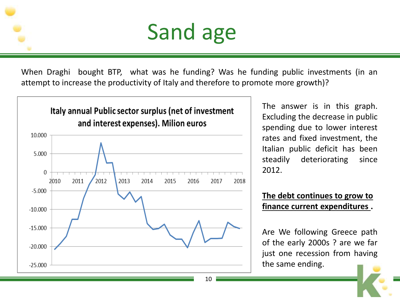When Draghi bought BTP, what was he funding? Was he funding public investments (in an attempt to increase the productivity of Italy and therefore to promote more growth)?



The answer is in this graph. Excluding the decrease in public spending due to lower interest rates and fixed investment, the Italian public deficit has been steadily deteriorating since 2012.

#### **The debt continues to grow to finance current expenditures .**

Are We following Greece path of the early 2000s ? are we far just one recession from having the same ending.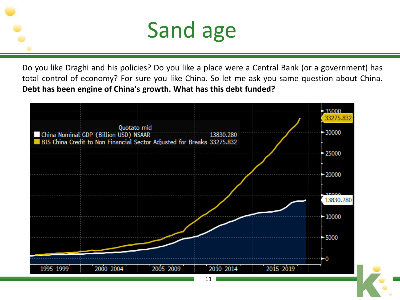Do you like Draghi and his policies? Do you like a place were a Central Bank (or a government) has total control of economy? For sure you like China. So let me ask you same question about China. **Debt has been engine of China's growth. What has this debt funded?**